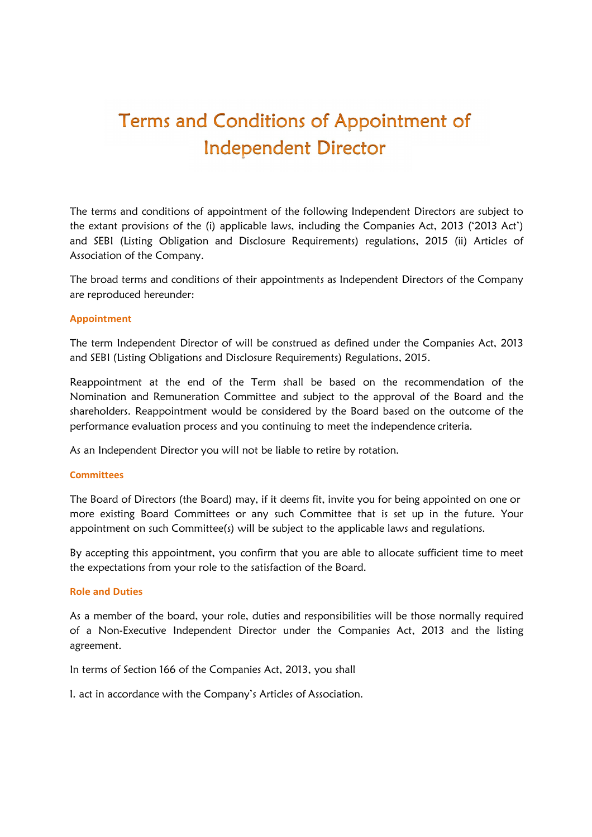# Terms and Conditions of Appointment of **Independent Director**

The terms and conditions of appointment of the following Independent Directors are subject to the extant provisions of the (i) applicable laws, including the Companies Act, 2013 ('2013 Act') and SEBI (Listing Obligation and Disclosure Requirements) regulations, 2015 (ii) Articles of Association of the Company.

The broad terms and conditions of their appointments as Independent Directors of the Company are reproduced hereunder:

#### **Appointment**

The term Independent Director of will be construed as defined under the Companies Act, 2013 and SEBI (Listing Obligations and Disclosure Requirements) Regulations, 2015.

Reappointment at the end of the Term shall be based on the recommendation of the Nomination and Remuneration Committee and subject to the approval of the Board and the shareholders. Reappointment would be considered by the Board based on the outcome of the performance evaluation process and you continuing to meet the independence criteria.

As an Independent Director you will not be liable to retire by rotation.

#### **Committees**

The Board of Directors (the Board) may, if it deems fit, invite you for being appointed on one or more existing Board Committees or any such Committee that is set up in the future. Your appointment on such Committee(s) will be subject to the applicable laws and regulations.

By accepting this appointment, you confirm that you are able to allocate sufficient time to meet the expectations from your role to the satisfaction of the Board.

### **Role and Duties**

As a member of the board, your role, duties and responsibilities will be those normally required of a Non-Executive Independent Director under the Companies Act, 2013 and the listing agreement.

In terms of Section 166 of the Companies Act, 2013, you shall

I. act in accordance with the Company's Articles of Association.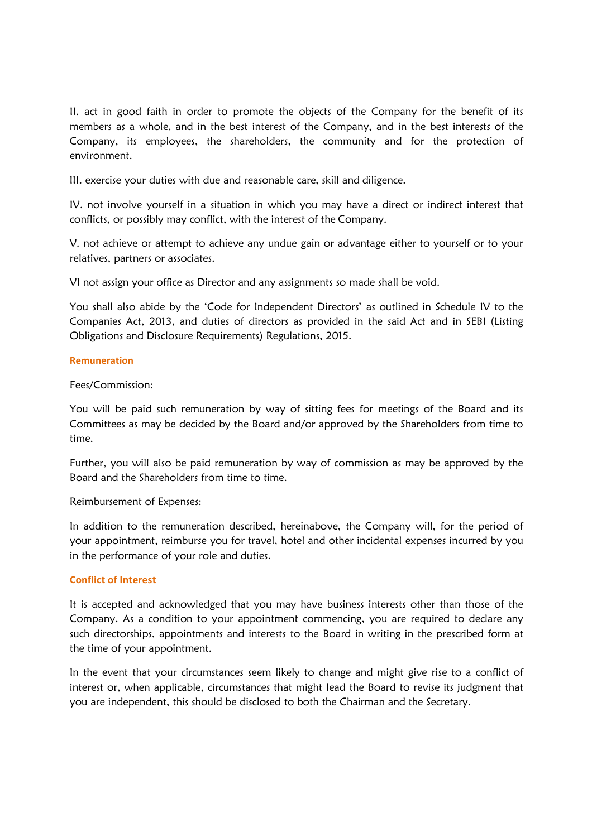II. act in good faith in order to promote the objects of the Company for the benefit of its members as a whole, and in the best interest of the Company, and in the best interests of the Company, its employees, the shareholders, the community and for the protection of environment.

III. exercise your duties with due and reasonable care, skill and diligence.

IV. not involve yourself in a situation in which you may have a direct or indirect interest that conflicts, or possibly may conflict, with the interest of the Company.

V. not achieve or attempt to achieve any undue gain or advantage either to yourself or to your relatives, partners or associates.

VI not assign your office as Director and any assignments so made shall be void.

You shall also abide by the 'Code for Independent Directors' as outlined in Schedule IV to the Companies Act, 2013, and duties of directors as provided in the said Act and in SEBI (Listing Obligations and Disclosure Requirements) Regulations, 2015.

# **Remuneration**

# Fees/Commission:

You will be paid such remuneration by way of sitting fees for meetings of the Board and its Committees as may be decided by the Board and/or approved by the Shareholders from time to time.

Further, you will also be paid remuneration by way of commission as may be approved by the Board and the Shareholders from time to time.

Reimbursement of Expenses:

In addition to the remuneration described, hereinabove, the Company will, for the period of your appointment, reimburse you for travel, hotel and other incidental expenses incurred by you in the performance of your role and duties.

# **Conflict of Interest**

It is accepted and acknowledged that you may have business interests other than those of the Company. As a condition to your appointment commencing, you are required to declare any such directorships, appointments and interests to the Board in writing in the prescribed form at the time of your appointment.

In the event that your circumstances seem likely to change and might give rise to a conflict of interest or, when applicable, circumstances that might lead the Board to revise its judgment that you are independent, this should be disclosed to both the Chairman and the Secretary.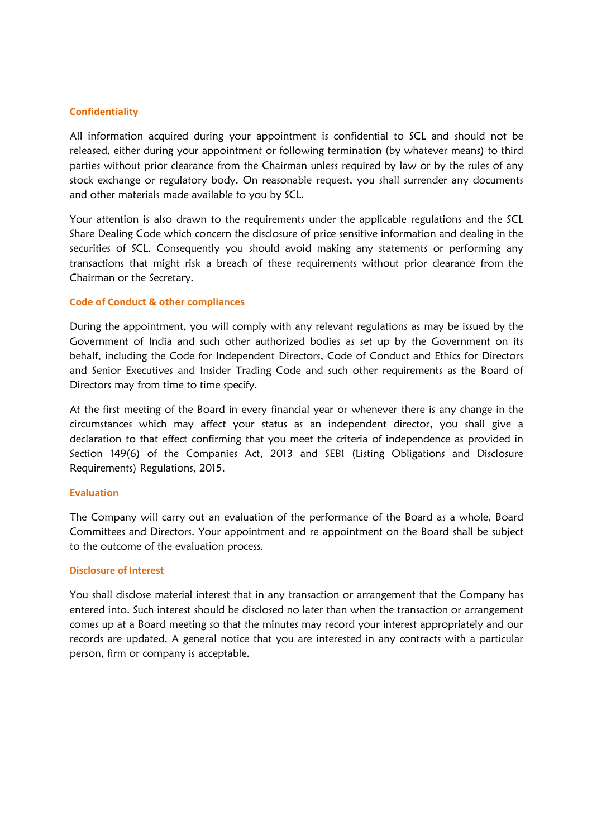#### **Confidentiality**

All information acquired during your appointment is confidential to SCL and should not be released, either during your appointment or following termination (by whatever means) to third parties without prior clearance from the Chairman unless required by law or by the rules of any stock exchange or regulatory body. On reasonable request, you shall surrender any documents and other materials made available to you by SCL.

Your attention is also drawn to the requirements under the applicable regulations and the SCL Share Dealing Code which concern the disclosure of price sensitive information and dealing in the securities of SCL. Consequently you should avoid making any statements or performing any transactions that might risk a breach of these requirements without prior clearance from the Chairman or the Secretary.

#### **Code of Conduct & other compliances**

During the appointment, you will comply with any relevant regulations as may be issued by the Government of India and such other authorized bodies as set up by the Government on its behalf, including the Code for Independent Directors, Code of Conduct and Ethics for Directors and Senior Executives and Insider Trading Code and such other requirements as the Board of Directors may from time to time specify.

At the first meeting of the Board in every financial year or whenever there is any change in the circumstances which may affect your status as an independent director, you shall give a declaration to that effect confirming that you meet the criteria of independence as provided in Section 149(6) of the Companies Act, 2013 and SEBI (Listing Obligations and Disclosure Requirements) Regulations, 2015.

#### **Evaluation**

The Company will carry out an evaluation of the performance of the Board as a whole, Board Committees and Directors. Your appointment and re appointment on the Board shall be subject to the outcome of the evaluation process.

### **Disclosure of Interest**

You shall disclose material interest that in any transaction or arrangement that the Company has entered into. Such interest should be disclosed no later than when the transaction or arrangement comes up at a Board meeting so that the minutes may record your interest appropriately and our records are updated. A general notice that you are interested in any contracts with a particular person, firm or company is acceptable.